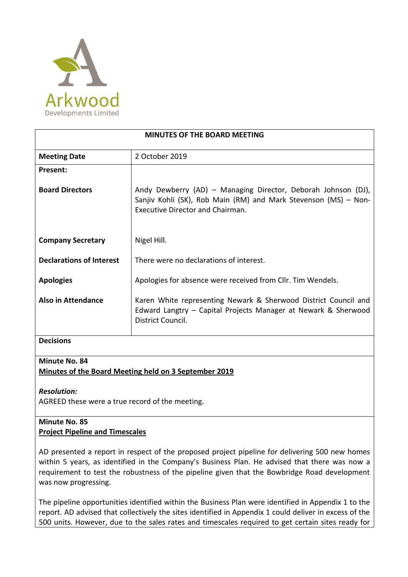

| <b>MINUTES OF THE BOARD MEETING</b> |                                                                                                                                                                      |
|-------------------------------------|----------------------------------------------------------------------------------------------------------------------------------------------------------------------|
| <b>Meeting Date</b>                 | 2 October 2019                                                                                                                                                       |
| <b>Present:</b>                     |                                                                                                                                                                      |
| <b>Board Directors</b>              | Andy Dewberry (AD) - Managing Director, Deborah Johnson (DJ),<br>Sanjiv Kohli (SK), Rob Main (RM) and Mark Stevenson (MS) - Non-<br>Executive Director and Chairman. |
| <b>Company Secretary</b>            | Nigel Hill.                                                                                                                                                          |
| <b>Declarations of Interest</b>     | There were no declarations of interest.                                                                                                                              |
| <b>Apologies</b>                    | Apologies for absence were received from Cllr. Tim Wendels.                                                                                                          |
| Also in Attendance                  | Karen White representing Newark & Sherwood District Council and<br>Edward Langtry – Capital Projects Manager at Newark & Sherwood<br>District Council.               |
| <b>Decisions</b>                    |                                                                                                                                                                      |

#### **Minute No. 84**

#### **Minutes of the Board Meeting held on 3 September 2019**

*Resolution:*

AGREED these were a true record of the meeting.

## **Minute No. 85 Project Pipeline and Timescales**

AD presented a report in respect of the proposed project pipeline for delivering 500 new homes within 5 years, as identified in the Company's Business Plan. He advised that there was now a requirement to test the robustness of the pipeline given that the Bowbridge Road development was now progressing.

The pipeline opportunities identified within the Business Plan were identified in Appendix 1 to the report. AD advised that collectively the sites identified in Appendix 1 could deliver in excess of the 500 units. However, due to the sales rates and timescales required to get certain sites ready for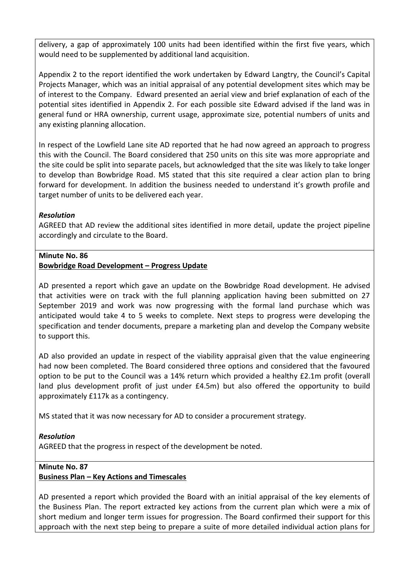delivery, a gap of approximately 100 units had been identified within the first five years, which would need to be supplemented by additional land acquisition.

Appendix 2 to the report identified the work undertaken by Edward Langtry, the Council's Capital Projects Manager, which was an initial appraisal of any potential development sites which may be of interest to the Company. Edward presented an aerial view and brief explanation of each of the potential sites identified in Appendix 2. For each possible site Edward advised if the land was in general fund or HRA ownership, current usage, approximate size, potential numbers of units and any existing planning allocation.

In respect of the Lowfield Lane site AD reported that he had now agreed an approach to progress this with the Council. The Board considered that 250 units on this site was more appropriate and the site could be split into separate pacels, but acknowledged that the site was likely to take longer to develop than Bowbridge Road. MS stated that this site required a clear action plan to bring forward for development. In addition the business needed to understand it's growth profile and target number of units to be delivered each year.

## *Resolution*

AGREED that AD review the additional sites identified in more detail, update the project pipeline accordingly and circulate to the Board.

#### **Minute No. 86**

#### **Bowbridge Road Development – Progress Update**

AD presented a report which gave an update on the Bowbridge Road development. He advised that activities were on track with the full planning application having been submitted on 27 September 2019 and work was now progressing with the formal land purchase which was anticipated would take 4 to 5 weeks to complete. Next steps to progress were developing the specification and tender documents, prepare a marketing plan and develop the Company website to support this.

AD also provided an update in respect of the viability appraisal given that the value engineering had now been completed. The Board considered three options and considered that the favoured option to be put to the Council was a 14% return which provided a healthy £2.1m profit (overall land plus development profit of just under £4.5m) but also offered the opportunity to build approximately £117k as a contingency.

MS stated that it was now necessary for AD to consider a procurement strategy.

## *Resolution*

AGREED that the progress in respect of the development be noted.

## **Minute No. 87**

## **Business Plan – Key Actions and Timescales**

AD presented a report which provided the Board with an initial appraisal of the key elements of the Business Plan. The report extracted key actions from the current plan which were a mix of short medium and longer term issues for progression. The Board confirmed their support for this approach with the next step being to prepare a suite of more detailed individual action plans for